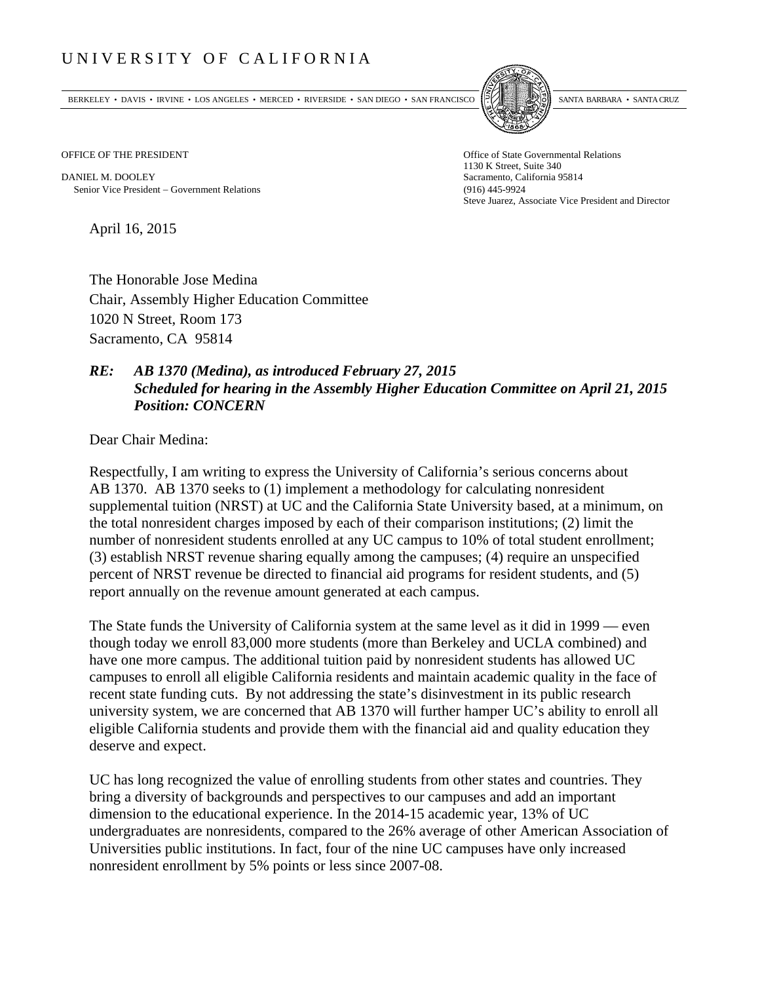## UNIVERSITY OF CALIFORNIA

BERKELEY • DAVIS • IRVINE • LOS ANGELES • MERCED • RIVERSIDE • SAN DIEGO • SAN FRANCISCO SANTA BARBARA • SANTA CRUZ



OFFICE OF THE PRESIDENT STATES OF THE PRESIDENT

DANIEL M. DOOLEY Sacramento, California 95814 Senior Vice President Government Relations (916) 445-9924

1130 K Street, Suite 340 Steve Juarez, Associate Vice President and Director

April 16, 2015

The Honorable Jose Medina Chair, Assembly Higher Education Committee 1020 N Street, Room 173 Sacramento, CA 95814

## *RE: AB 1370 (Medina), as introduced February 27, 2015 Scheduled for hearing in the Assembly Higher Education Committee on April 21, 2015 Position: CONCERN*

Dear Chair Medina:

Respectfully, I am writing to express the University of California's serious concerns about AB 1370. AB 1370 seeks to (1) implement a methodology for calculating nonresident supplemental tuition (NRST) at UC and the California State University based, at a minimum, on the total nonresident charges imposed by each of their comparison institutions; (2) limit the number of nonresident students enrolled at any UC campus to 10% of total student enrollment; (3) establish NRST revenue sharing equally among the campuses; (4) require an unspecified percent of NRST revenue be directed to financial aid programs for resident students, and (5) report annually on the revenue amount generated at each campus.

The State funds the University of California system at the same level as it did in 1999 — even though today we enroll 83,000 more students (more than Berkeley and UCLA combined) and have one more campus. The additional tuition paid by nonresident students has allowed UC campuses to enroll all eligible California residents and maintain academic quality in the face of recent state funding cuts. By not addressing the state's disinvestment in its public research university system, we are concerned that AB 1370 will further hamper UC's ability to enroll all eligible California students and provide them with the financial aid and quality education they deserve and expect.

UC has long recognized the value of enrolling students from other states and countries. They bring a diversity of backgrounds and perspectives to our campuses and add an important dimension to the educational experience. In the 2014-15 academic year, 13% of UC undergraduates are nonresidents, compared to the 26% average of other American Association of Universities public institutions. In fact, four of the nine UC campuses have only increased nonresident enrollment by 5% points or less since 2007-08.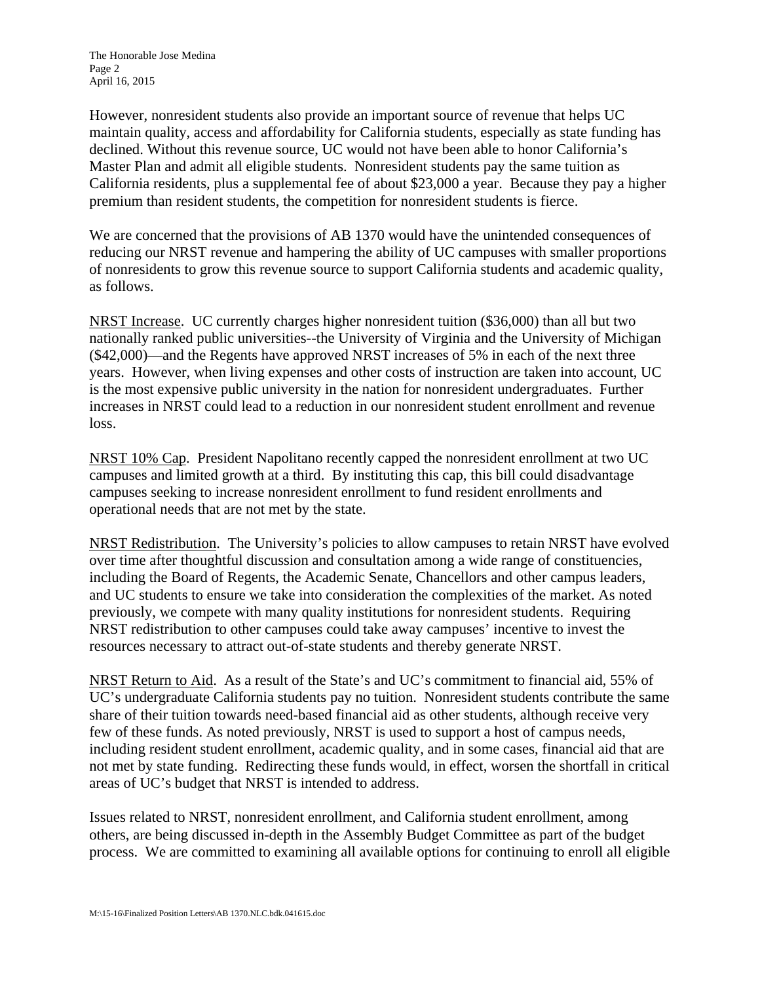However, nonresident students also provide an important source of revenue that helps UC maintain quality, access and affordability for California students, especially as state funding has declined. Without this revenue source, UC would not have been able to honor California's Master Plan and admit all eligible students. Nonresident students pay the same tuition as California residents, plus a supplemental fee of about \$23,000 a year. Because they pay a higher premium than resident students, the competition for nonresident students is fierce.

We are concerned that the provisions of AB 1370 would have the unintended consequences of reducing our NRST revenue and hampering the ability of UC campuses with smaller proportions of nonresidents to grow this revenue source to support California students and academic quality, as follows.

NRST Increase. UC currently charges higher nonresident tuition (\$36,000) than all but two nationally ranked public universities--the University of Virginia and the University of Michigan (\$42,000)—and the Regents have approved NRST increases of 5% in each of the next three years. However, when living expenses and other costs of instruction are taken into account, UC is the most expensive public university in the nation for nonresident undergraduates. Further increases in NRST could lead to a reduction in our nonresident student enrollment and revenue loss.

NRST 10% Cap. President Napolitano recently capped the nonresident enrollment at two UC campuses and limited growth at a third. By instituting this cap, this bill could disadvantage campuses seeking to increase nonresident enrollment to fund resident enrollments and operational needs that are not met by the state.

NRST Redistribution. The University's policies to allow campuses to retain NRST have evolved over time after thoughtful discussion and consultation among a wide range of constituencies, including the Board of Regents, the Academic Senate, Chancellors and other campus leaders, and UC students to ensure we take into consideration the complexities of the market. As noted previously, we compete with many quality institutions for nonresident students. Requiring NRST redistribution to other campuses could take away campuses' incentive to invest the resources necessary to attract out-of-state students and thereby generate NRST.

NRST Return to Aid. As a result of the State's and UC's commitment to financial aid, 55% of UC's undergraduate California students pay no tuition. Nonresident students contribute the same share of their tuition towards need-based financial aid as other students, although receive very few of these funds. As noted previously, NRST is used to support a host of campus needs, including resident student enrollment, academic quality, and in some cases, financial aid that are not met by state funding. Redirecting these funds would, in effect, worsen the shortfall in critical areas of UC's budget that NRST is intended to address.

Issues related to NRST, nonresident enrollment, and California student enrollment, among others, are being discussed in-depth in the Assembly Budget Committee as part of the budget process. We are committed to examining all available options for continuing to enroll all eligible